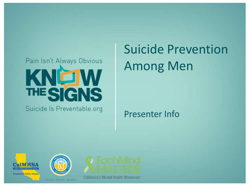### Pain Isn't Always Obvious KNOW THE SIGNS Suicide Is Preventable.org

# Suicide Prevention Among Men

#### Presenter Info





WELLNESS - RECOVERY - RESILIENCE



California's Mental Health Movement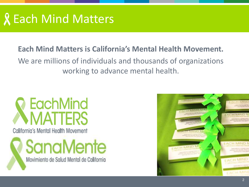# **R** Each Mind Matters

#### **Each Mind Matters is California's Mental Health Movement.**

We are millions of individuals and thousands of organizations working to advance mental health.

# **7 EachMind NMATTERS**

California's Mental Health Movement

**SanaMente** Movimiento de Salud Mental de California

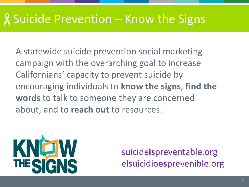# . Suicide Prevention – Know the Signs

A statewide suicide prevention social marketing campaign with the overarching goal to increase Californians' capacity to prevent suicide by encouraging individuals to **know the signs**, **find the words** to talk to someone they are concerned about, and to **reach out** to resources.



suicide**is**preventable.org elsuicidio**es**prevenible.org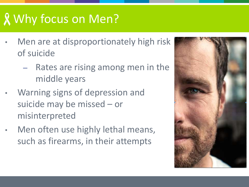# Why focus on Men?

- Men are at disproportionately high risk of suicide
	- Rates are rising among men in the middle years
- Warning signs of depression and suicide may be missed – or misinterpreted
- Men often use highly lethal means, such as firearms, in their attempts

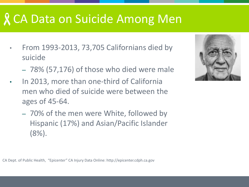### CA Data on Suicide Among Men

- From 1993-2013, 73,705 Californians died by suicide
	- 78% (57,176) of those who died were male
- In 2013, more than one-third of California men who died of suicide were between the ages of 45-64.
	- 70% of the men were White, followed by Hispanic (17%) and Asian/Pacific Islander (8%).



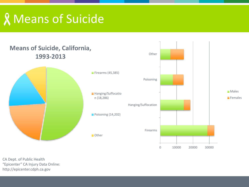# Means of Suicide

#### **Means of Suicide, California, 1993-2013**



n (18,286)

CA Dept. of Public Health "Epicenter" CA Injury Data Online: http://epicenter.cdph.ca.gov

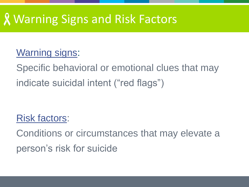#### Warning Signs and Risk Factors

#### Warning signs:

Specific behavioral or emotional clues that may indicate suicidal intent ("red flags")

#### Risk factors:

Conditions or circumstances that may elevate a person's risk for suicide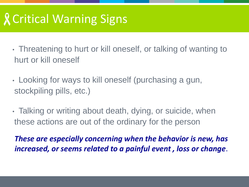# Critical Warning Signs

- Threatening to hurt or kill oneself, or talking of wanting to hurt or kill oneself
- Looking for ways to kill oneself (purchasing a gun, stockpiling pills, etc.)
- Talking or writing about death, dying, or suicide, when these actions are out of the ordinary for the person

*These are especially concerning when the behavior is new, has increased, or seems related to a painful event , loss or change*.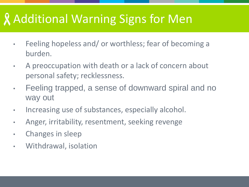### Additional Warning Signs for Men

- Feeling hopeless and/ or worthless; fear of becoming a burden.
- A preoccupation with death or a lack of concern about personal safety; recklessness.
- Feeling trapped, a sense of downward spiral and no way out
- Increasing use of substances, especially alcohol.
- Anger, irritability, resentment, seeking revenge
- Changes in sleep
- Withdrawal, isolation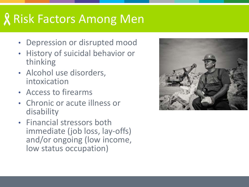# Risk Factors Among Men

- Depression or disrupted mood
- History of suicidal behavior or thinking
- Alcohol use disorders, intoxication
- Access to firearms
- Chronic or acute illness or disability
- Financial stressors both immediate (job loss, lay-offs) and/or ongoing (low income, low status occupation)

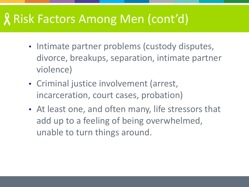#### Risk Factors Among Men (cont'd)

- Intimate partner problems (custody disputes, divorce, breakups, separation, intimate partner violence)
- Criminal justice involvement (arrest, incarceration, court cases, probation)
- At least one, and often many, life stressors that add up to a feeling of being overwhelmed, unable to turn things around.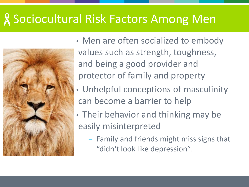### Sociocultural Risk Factors Among Men



• Men are often socialized to embody values such as strength, toughness, and being a good provider and protector of family and property

- Unhelpful conceptions of masculinity can become a barrier to help
- Their behavior and thinking may be easily misinterpreted
	- Family and friends might miss signs that "didn't look like depression".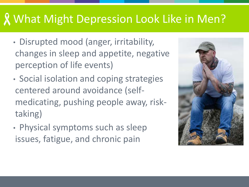#### What Might Depression Look Like in Men?

- Disrupted mood (anger, irritability, changes in sleep and appetite, negative perception of life events)
- Social isolation and coping strategies centered around avoidance (selfmedicating, pushing people away, risktaking)
- Physical symptoms such as sleep issues, fatigue, and chronic pain

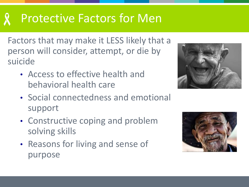### Protective Factors for Men

Factors that may make it LESS likely that a person will consider, attempt, or die by suicide

• Access to effective health and behavioral health care



- Social connectedness and emotional support
- Constructive coping and problem solving skills
- Reasons for living and sense of purpose

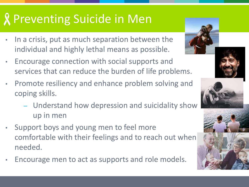# **R** Preventing Suicide in Men

- In a crisis, put as much separation between the individual and highly lethal means as possible.
- Encourage connection with social supports and services that can reduce the burden of life problems.
- Promote resiliency and enhance problem solving and coping skills.
	- Understand how depression and suicidality show up in men
- Support boys and young men to feel more comfortable with their feelings and to reach out when needed.
- Encourage men to act as supports and role models.







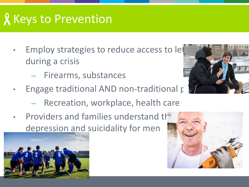# **R** Keys to Prevention

- Employ strategies to reduce access to let during a crisis
	- Firearms, substances
- Engage traditional AND non-traditional partners
	- Recreation, workplace, health care
- Providers and families understand the depression and suicidality for men





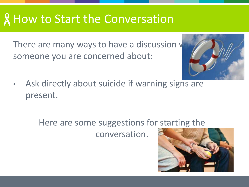#### **& How to Start the Conversation**

There are many ways to have a discussion v someone you are concerned about:



Ask directly about suicide if warning signs are present.

Here are some suggestions for starting the

conversation.

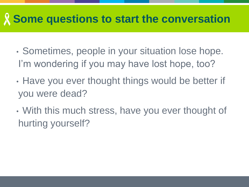#### **Some questions to start the conversation**

- Sometimes, people in your situation lose hope. I'm wondering if you may have lost hope, too?
- Have you ever thought things would be better if you were dead?
- With this much stress, have you ever thought of hurting yourself?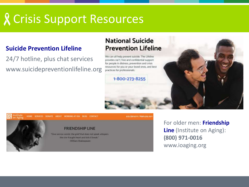### Crisis Support Resources

#### **Suicide Prevention Lifeline**

24/7 hotline, plus chat services www.suicidepreventionlifeline.org

#### **National Suicide Prevention Lifeline**

We can all help prevent suicide. The Lifeline





For older men: **Friendship Line** (Institute on Aging): **(800) 971-0016**  www.ioaging.org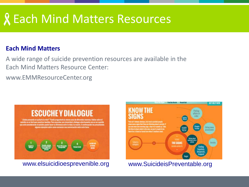### Each Mind Matters Resources

#### **Each Mind Matters**

A wide range of suicide prevention resources are available in the Each Mind Matters Resource Center:

www.EMMResourceCenter.org



www.elsuicidioesprevenible.org www.SuicideisPreventable.org

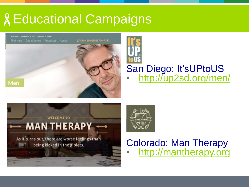# Educational Campaigns



# San Diego: It'sUPtoUS • <http://up2sd.org/men/>





#### Colorado: Man Therapy • <http://mantherapy.org>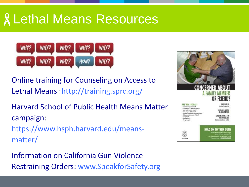### Lethal Means Resources



Online training for Counseling on Access to Lethal Means :http://training.sprc.org/

Harvard School of Public Health Means Matter campaign: https://www.hsph.harvard.edu/meansmatter/

Information on California Gun Violence Restraining Orders: www.SpeakforSafety.org